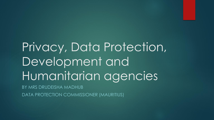Privacy, Data Protection, Development and Humanitarian agencies BY MRS DRUDEISHA MADHUB DATA PROTECTION COMMISSIONER (MAURITIUS)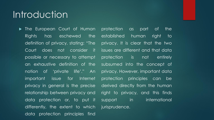#### Introduction

**Indem European Court of Human** Rights has eschewed the definition of privacy, stating: "The Court does not consider it possible or necessary to attempt an exhaustive definition of the notion of 'private life'." An important issue for Internet privacy in general is the precise relationship between privacy and data protection or, to put it differently, the extent to which data protection principles find

protection as part of the established human right to privacy. It is clear that the two issues are different and that data protection is not entirely subsumed into the concept of privacy. However, important data protection principles can be derived directly from the human right to privacy, and this finds support in international jurisprudence.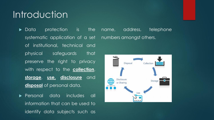#### **Introduction**

**Data** protection is the systematic application of a set numbers amongst others.of institutional, technical and physical safeguards that preserve the right to privacy with respect to the **collection**, **storage**, **use, disclosure** and **disposal** of personal data.

**Personal data includes all** information that can be used to identify data subjects such as

name, address, telephone

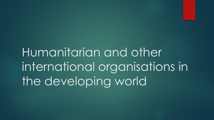Humanitarian and other international organisations in the developing world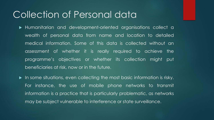#### Collection of Personal data

- Humanitarian and development-oriented organisations collect a wealth of personal data from name and location to detailed medical information. Some of this data is collected without an assessment of whether it is really required to achieve the programme's objectives or whether its collection might put beneficiaries at risk, now or in the future.
- In some situations, even collecting the most basic information is risky. For instance, the use of mobile phone networks to transmit information is a practice that is particularly problematic, as networks may be subject vulnerable to interference or state surveillance.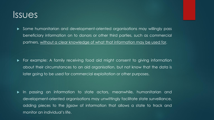#### Issues

 Some humanitarian and development-oriented organisations may willingly pass beneficiary information on to donors or other third parties, such as commercial partners, without a clear knowledge of what that information may be used for.

 For example: A family receiving food aid might consent to giving information about their circumstances to an aid organisation, but not know that the data is later going to be used for commercial exploitation or other purposes.

 In passing on information to state actors, meanwhile, humanitarian and development-oriented organisations may unwittingly facilitate state surveillance, adding pieces to the jigsaw of information that allows a state to track and monitor an individual's life.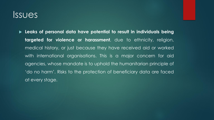#### Issues

 **Leaks of personal data have potential to result in individuals being targeted for violence or harassment**, due to ethnicity, religion, medical history, or just because they have received aid or worked with international organisations. This is a major concern for aid agencies, whose mandate is to uphold the humanitarian principle of 'do no harm'. Risks to the protection of beneficiary data are faced at every stage.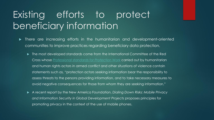## Existing efforts to protect beneficiary information

- There are increasing efforts in the humanitarian and development-oriented communities to improve practices regarding beneficiary data protection.
	- The most developed standards come from the International Committee of the Red Cross whose *[Professional standards for Protection Work](http://www.icrc.org/eng/assets/files/other/icrc-002-0999.pdf)* carried out by humanitarian and human rights actors in armed conflict and other situations of violence contain statements such as, "protection actors seeking information bear the responsibility to assess threats to the persons providing information, and to take necessary measures to avoid negative consequences for those from whom they are seeking information."
	- A recent report by the New America Foundation, *Dialing Down Risks: Mobile Privacy and Information Security in Global Development Projects* proposes principles for promoting privacy in the context of the use of mobile phones.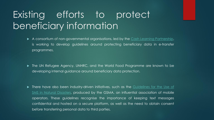## Existing efforts to protect beneficiary information

- A consortium of non-governmental organisations, led by the Cash Learning [Partnership,](http://www.cashlearning.org/) is working to develop guidelines around protecting beneficiary data in e-transfer programmes.
- ▶ The UN Refugee Agency, UNHRC, and the World Food Programme are known to be developing internal guidance around beneficiary data protection.

**There have also been [industry-driven](http://www.gsma.com/mobilefordevelopment/wp-content/uploads/2013/02/Towards-a-Code-of-Conduct-SMS-Guidelines.pdf) initiatives, such as the Guidelines for the Use of** SMS in Natural Disasters, produced by the GSMA, an influential association of mobile operators. These guidelines recognise the importance of keeping text messages confidential and hosted on a secure platform, as well as the need to obtain consent before transferring personal data to third parties.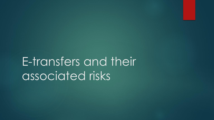E-transfers and their associated risks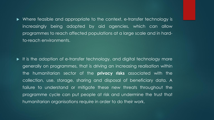• Where feasible and appropriate to the context, e-transfer technology is increasingly being adopted by aid agencies, which can allow programmes to reach affected populations at a large scale and in hardto-reach environments.

It is the adoption of e-transfer technology, and digital technology more generally on programmes, that is driving an increasing realisation within the humanitarian sector of the **privacy risks** associated with the collection, use, storage, sharing and disposal of beneficiary data. A failure to understand or mitigate these new threats throughout the programme cycle can put people at risk and undermine the trust that humanitarian organisations require in order to do their work.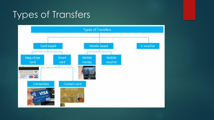## Types of Transfers

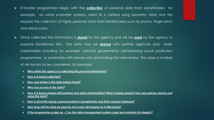- E-transfer programmes begin with the **collection** of personal data from beneficiaries for example, on some e-transfer systems, client ID is verified using biometric data and this requires the collection of highly personal data from beneficiaries such as photos, finger prints and retina scans.
- Once collected this information is **stored** by the agency and will be **used** by the agency to prepare beneficiary lists. The data may be **shared** with partner agencies and wider stakeholders including for example, national governments administering social protection programmes , or potentially with donors who are funding the intervention. This raises a number of risk factors to be considered, for example:
	- *Who within the agency is collecting this personal information?*
	- *How is it being collected?*
	- *How and where is this data being stored?*
	- *Who has access to the data?*
	- How is it being shared with partners and other stakeholders? What is being shared? How are partners storing and *using this data?*
	- *How is all of this being communicated to beneficiaries and their consent obtained?*
	- *How long will the data be kept for and what will happen to it afterwards?*
	- *If the programme scales up – Can the data management system cope and maintain its integrity?*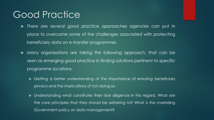#### Good Practice

- $\blacktriangleright$  There are several good practice approaches agencies can put in place to overcome some of the challenges associated with protecting beneficiary data on e-transfer programmes.
- Many organisations are taking the following approach, that can be seen as emerging good practice in finding solutions pertinent to specific programme locations:
	- ► Getting a better understanding of the importance of ensuring beneficiary privacy and the implications of not doing so.
	- Understanding what constitutes their due diligence in this regard. What are the core principles that they should be adhering to? What is the overriding Government policy on data management?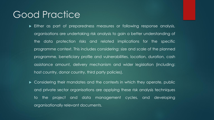#### Good Practice

- Either as part of preparedness measures or following response analysis, organisations are undertaking risk analysis to gain a better understanding of the data protection risks and related implications for the specific programme context. This includes considering: size and scale of the planned programme, beneficiary profile and vulnerabilities, location, duration, cash assistance amount, delivery mechanism and wider legislation (including: host country, donor country, third party policies).
- ▶ Considering their mandates and the contexts in which they operate, public and private sector organisations are applying these risk analysis techniques to the project and data management cycles, and developing organisationally relevant documents.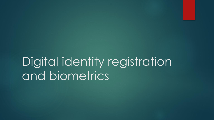# Digital identity registration and biometrics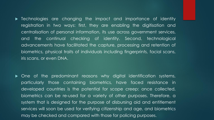**Fight** Technologies are changing the impact and importance of identity registration in two ways: first, they are enabling the digitisation and centralisation of personal information, its use across government services, and the continual checking of identity. Second, technological advancements have facilitated the capture, processing and retention of biometrics, physical traits of individuals including fingerprints, facial scans, iris scans, or even DNA.

 One of the predominant reasons why digital identification systems, particularly those containing biometrics, have faced resistance in developed countries is the potential for scope creep: once collected, biometrics can be re-used for a variety of other purposes. Therefore, a system that is designed for the purpose of disbursing aid and entitlement services will soon be used for verifying citizenship and age, and biometrics may be checked and compared with those for policing purposes.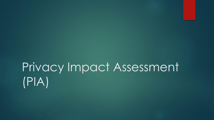# Privacy Impact Assessment (PIA)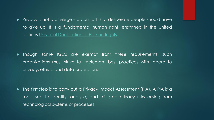$\blacktriangleright$  Privacy is not a privilege – a comfort that desperate people should have to give up. It is a fundamental human right, enshrined in the United Nations Universal [Declaration](http://www.un.org/en/universal-declaration-human-rights/) of Human Rights.

**Though some IGOs are exempt from these requirements, such** organizations must strive to implement best practices with regard to privacy, ethics, and data protection.

▶ The first step is to carry out a Privacy Impact Assessment (PIA). A PIA is a tool used to identify, analyse, and mitigate privacy risks arising from technological systems or processes.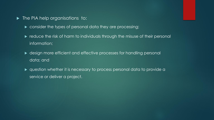- **The PIA help organisations to:** 
	- $\blacktriangleright$  consider the types of personal data they are processing;
	- reduce the risk of harm to individuals through the misuse of their personal information;
	- ▶ design more efficient and effective processes for handling personal data; and
	- question whether it is necessary to process personal data to provide a service or deliver a project.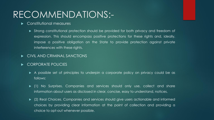## RECOMMENDATIONS:-

- Constitutional measures
	- Strong constitutional protection should be provided for both privacy and freedom of expression. This should encompass positive protections for these rights and, ideally, impose a positive obligation on the State to provide protection against private interferences with these rights.
- CIVIL AND CRIMINAL SANCTIONS
- CORPORATE POLICIES
	- A possible set of principles to underpin a corporate policy on privacy could be as follows:
	- (1) No Surprises. Companies and services should only use, collect and share information about users as disclosed in clear, concise, easy to understand, notices.
	- (2) Real Choices. Companies and services should give users actionable and informed choices by providing clear information at the point of collection and providing a choice to opt-out whenever possible.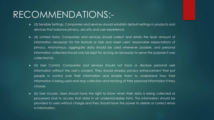### RECOMMENDATIONS:-

- (3) Sensible Settings. Companies and services should establish default settings in products and services that balance privacy, security and user experience.
- (4) Limited Data. Companies and services should collect and retain the least amount of information necessary for the feature or task and meet users' reasonable expectations of privacy. Anonymous, aggregate data should be used whenever possible, and personal information collected should only be kept for as long as necessary to serve the purpose it was collected for.
- (5) User Control. Companies and services should not track or disclose personal user information without the user's consent. They should employ privacy enhancement that put people in control over their information and enable them to understand how their information is being used and stop collection and tracking of their personal information if they choose.
- (6) User Access. Users should have the right to know when their data is being collected or processed and to access that data in an understandable form. This information should be provided to users without charge and they should have the power to delete or correct errors in information.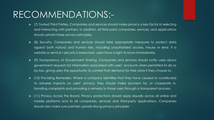### RECOMMENDATIONS:-

- (7) Trusted Third Parties. Companies and services should make privacy a key factor in selecting and interacting with partners. In addition, all third party companies, services, and applications should uphold these privacy principles.
- (8) Security. Companies and services should take appropriate measures to protect data against both natural and human risks, including unauthorized access, misuse or error. If a website or service's security is breached, users have a right to know immediately.
- (9) Transparency of Government Sharing. Companies and services should notify users about government requests for information associated with users' accounts when permitted to do so by law, giving users the opportunity to contest that demand for their data if they choose to.
- (10) Providing Remedies: Where a company identifies that they have caused or contributed to adverse impacts on users' privacy, they should make provision for, or cooperate in, handling complaints and providing a remedy to those users through a transparent process.
- (11) Privacy Across the Board. Privacy protections should apply equally across all online and mobile platforms and to all companies, services and third-party applications. Companies should also make sure partners uphold strong privacy principles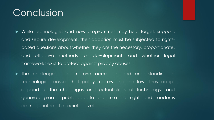### Conclusion

- While technologies and new programmes may help target, support, and secure development, their adoption must be subjected to rightsbased questions about whether they are the necessary, proportionate, and effective methods for development, and whether legal frameworks exist to protect against privacy abuses.
- The challenge is to improve access to and understanding of technologies, ensure that policy makers and the laws they adopt respond to the challenges and potentialities of technology, and generate greater public debate to ensure that rights and freedoms are negotiated at a societal level.